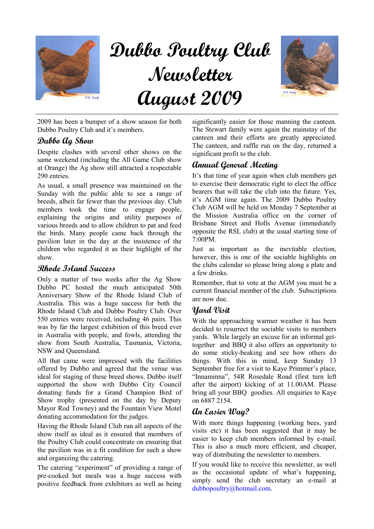

# Dubbo Poultry Club Newsletter August 2009



2009 has been a bumper of a show season for both Dubbo Poultry Club and it's members.

### Dubbo Ag Show

Despite clashes with several other shows on the same weekend (including the All Game Club show at Orange) the Ag show still attracted a respectable 290 entries.

As usual, a small presence was maintained on the Sunday with the public able to see a range of breeds, albeit far fewer than the previous day. Club members took the time to engage people, explaining the origins and utility purposes of various breeds and to allow children to pat and feed the birds. Many people came back through the pavilion later in the day at the insistence of the children who regarded it as their highlight of the show.

## Rhode Island Success

Only a matter of two weeks after the Ag Show Dubbo PC hosted the much anticipated 50th Anniversary Show of the Rhode Island Club of Australia. This was a huge success for both the Rhode Island Club and Dubbo Poultry Club. Over 550 entries were received, including 46 pairs. This was by far the largest exhibition of this breed ever in Australia with people, and fowls, attending the show from South Australia, Tasmania, Victoria, NSW and Queensland.

All that came were impressed with the facilities offered by Dubbo and agreed that the venue was ideal for staging of these breed shows. Dubbo itself supported the show with Dubbo City Council donating funds for a Grand Champion Bird of Show trophy (presented on the day by Deputy Mayor Rod Towney) and the Fountain View Motel donating accommodation for the judges.

Having the Rhode Island Club run all aspects of the show itself as ideal as it ensured that members of the Poultry Club could concentrate on ensuring that the pavilion was in a fit condition for such a show and organizing the catering.

The catering "experiment" of providing a range of pre-cooked hot meals was a huge success with positive feedback from exhibitors as well as being significantly easier for those manning the canteen. The Stewart family were again the mainstay of the canteen and their efforts are greatly appreciated. The canteen, and raffle run on the day, returned a significant profit to the club.

# Annual General Meeting

It's that time of year again when club members get to exercise their democratic right to elect the office bearers that will take the club into the future. Yes, it's AGM time again. The 2009 Dubbo Poultry Club AGM will be held on Monday 7 September at the Mission Australia office on the corner of Brisbane Street and Holls Avenue (immediately opposite the RSL club) at the usual starting time of 7:00PM.

Just as important as the inevitable election, however, this is one of the sociable highlights on the clubs calendar so please bring along a plate and a few drinks.

Remember, that to vote at the AGM you must be a current financial member of the club. Subscriptions are now due.

## Yard Visit

With the approaching warmer weather it has been decided to resurrect the sociable visits to members yards. While largely an excuse for an informal gettogether and BBQ it also offers an opportunity to do some sticky-beaking and see how others do things. With this in mind, keep Sunday 13 September free for a visit to Kaye Primmer's place, "Innaminna", 54R Rosedale Road (first turn left after the airport) kicking of at 11.00AM. Please bring all your BBQ goodies. All enquiries to Kaye on 6887 2154.

# **an Easier Wau?**

With more things happening (working bees, yard visits etc) it has been suggested that it may be easier to keep club members informed by e-mail. This is also a much more efficient, and cheaper, way of distributing the newsletter to members.

If you would like to receive this newsletter, as well as the occasional update of what's happening, simply send the club secretary an e-mail at dubbopoultry@hotmail.com.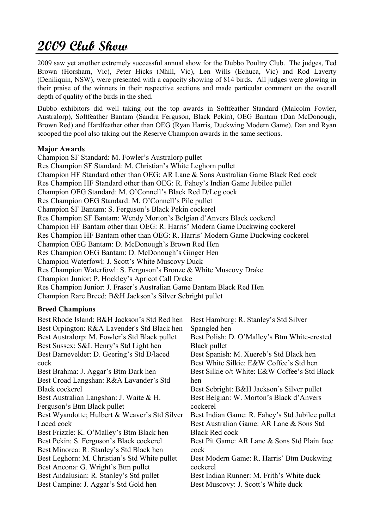# 2009 Club Show

2009 saw yet another extremely successful annual show for the Dubbo Poultry Club. The judges, Ted Brown (Horsham, Vic), Peter Hicks (Nhill, Vic), Len Wills (Echuca, Vic) and Rod Laverty (Deniliquin, NSW), were presented with a capacity showing of 814 birds. All judges were glowing in their praise of the winners in their respective sections and made particular comment on the overall depth of quality of the birds in the shed.

Dubbo exhibitors did well taking out the top awards in Softfeather Standard (Malcolm Fowler, Australorp), Softfeather Bantam (Sandra Ferguson, Black Pekin), OEG Bantam (Dan McDonough, Brown Red) and Hardfeather other than OEG (Ryan Harris, Duckwing Modern Game). Dan and Ryan scooped the pool also taking out the Reserve Champion awards in the same sections.

#### Major Awards

Champion SF Standard: M. Fowler's Australorp pullet Res Champion SF Standard: M. Christian's White Leghorn pullet Champion HF Standard other than OEG: AR Lane & Sons Australian Game Black Red cock Res Champion HF Standard other than OEG: R. Fahey's Indian Game Jubilee pullet Champion OEG Standard: M. O'Connell's Black Red D/Leg cock Res Champion OEG Standard: M. O'Connell's Pile pullet Champion SF Bantam: S. Ferguson's Black Pekin cockerel Res Champion SF Bantam: Wendy Morton's Belgian d'Anvers Black cockerel Champion HF Bantam other than OEG: R. Harris' Modern Game Duckwing cockerel Res Champion HF Bantam other than OEG: R. Harris' Modern Game Duckwing cockerel Champion OEG Bantam: D. McDonough's Brown Red Hen Res Champion OEG Bantam: D. McDonough's Ginger Hen Champion Waterfowl: J. Scott's White Muscovy Duck Res Champion Waterfowl: S. Ferguson's Bronze & White Muscovy Drake Champion Junior: P. Hockley's Apricot Call Drake Res Champion Junior: J. Fraser's Australian Game Bantam Black Red Hen Champion Rare Breed: B&H Jackson's Silver Sebright pullet

#### Breed Champions

| Best Rhode Island: B&H Jackson's Std Red hen  | Best Hamburg: R. Stanley's Std Silver           |
|-----------------------------------------------|-------------------------------------------------|
| Best Orpington: R&A Lavender's Std Black hen  | Spangled hen                                    |
| Best Australorp: M. Fowler's Std Black pullet | Best Polish: D. O'Malley's Btm White-crested    |
| Best Sussex: S&L Henry's Std Light hen        | Black pullet                                    |
| Best Barnevelder: D. Geering's Std D/laced    | Best Spanish: M. Xuereb's Std Black hen         |
| cock                                          | Best White Silkie: E&W Coffee's Std hen         |
| Best Brahma: J. Aggar's Btm Dark hen          | Best Silkie o/t White: E&W Coffee's Std Black   |
| Best Croad Langshan: R&A Lavander's Std       | hen                                             |
| <b>Black cockerel</b>                         | Best Sebright: B&H Jackson's Silver pullet      |
| Best Australian Langshan: J. Waite & H.       | Best Belgian: W. Morton's Black d'Anvers        |
| Ferguson's Btm Black pullet                   | cockerel                                        |
| Best Wyandotte; Hulbert & Weaver's Std Silver | Best Indian Game: R. Fahey's Std Jubilee pullet |
| Laced cock                                    | Best Australian Game: AR Lane & Sons Std        |
| Best Frizzle: K. O'Malley's Btm Black hen     | <b>Black Red cock</b>                           |
| Best Pekin: S. Ferguson's Black cockerel      | Best Pit Game: AR Lane & Sons Std Plain face    |
| Best Minorca: R. Stanley's Std Black hen      | cock                                            |
| Best Leghorn: M. Christian's Std White pullet | Best Modern Game: R. Harris' Btm Duckwing       |
| Best Ancona: G. Wright's Btm pullet           | cockerel                                        |
| Best Andalusian: R. Stanley's Std pullet      | Best Indian Runner: M. Frith's White duck       |
| Best Campine: J. Aggar's Std Gold hen         | Best Muscovy: J. Scott's White duck             |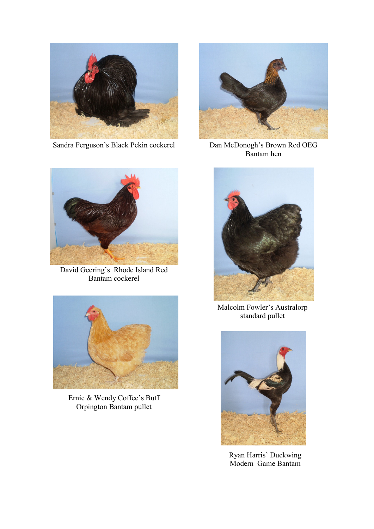

Sandra Ferguson's Black Pekin cockerel



Dan McDonogh's Brown Red OEG Bantam hen



David Geering's Rhode Island Red Bantam cockerel



Ernie & Wendy Coffee's Buff Orpington Bantam pullet



Malcolm Fowler's Australorp standard pullet



Ryan Harris' Duckwing Modern Game Bantam